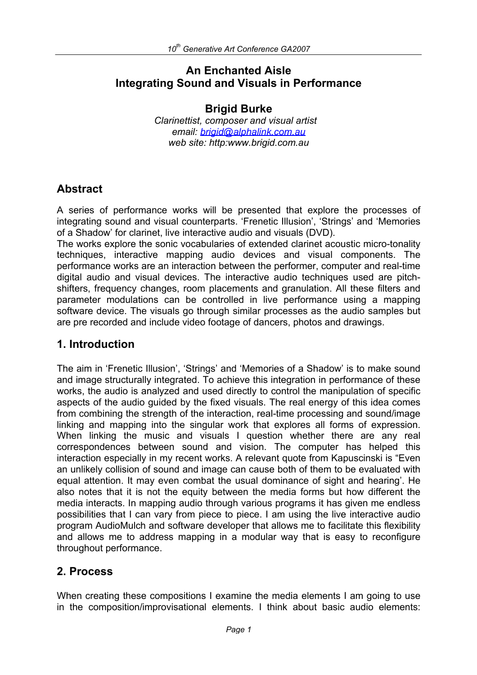# **An Enchanted Aisle Integrating Sound and Visuals in Performance**

### **Brigid Burke**

*Clarinettist, composer and visual artist email: brigid@alphalink.com.au web site: http:www.brigid.com.au*

# **Abstract**

A series of performance works will be presented that explore the processes of integrating sound and visual counterparts. 'Frenetic Illusion', 'Strings' and 'Memories of a Shadow' for clarinet, live interactive audio and visuals (DVD).

The works explore the sonic vocabularies of extended clarinet acoustic micro-tonality techniques, interactive mapping audio devices and visual components. The performance works are an interaction between the performer, computer and real-time digital audio and visual devices. The interactive audio techniques used are pitchshifters, frequency changes, room placements and granulation. All these filters and parameter modulations can be controlled in live performance using a mapping software device. The visuals go through similar processes as the audio samples but are pre recorded and include video footage of dancers, photos and drawings.

# **1. Introduction**

The aim in 'Frenetic Illusion', 'Strings' and 'Memories of a Shadow' is to make sound and image structurally integrated. To achieve this integration in performance of these works, the audio is analyzed and used directly to control the manipulation of specific aspects of the audio guided by the fixed visuals. The real energy of this idea comes from combining the strength of the interaction, real-time processing and sound/image linking and mapping into the singular work that explores all forms of expression. When linking the music and visuals I question whether there are any real correspondences between sound and vision. The computer has helped this interaction especially in my recent works. A relevant quote from Kapuscinski is "Even an unlikely collision of sound and image can cause both of them to be evaluated with equal attention. It may even combat the usual dominance of sight and hearing'. He also notes that it is not the equity between the media forms but how different the media interacts. In mapping audio through various programs it has given me endless possibilities that I can vary from piece to piece. I am using the live interactive audio program AudioMulch and software developer that allows me to facilitate this flexibility and allows me to address mapping in a modular way that is easy to reconfigure throughout performance.

# **2. Process**

When creating these compositions I examine the media elements I am going to use in the composition/improvisational elements. I think about basic audio elements: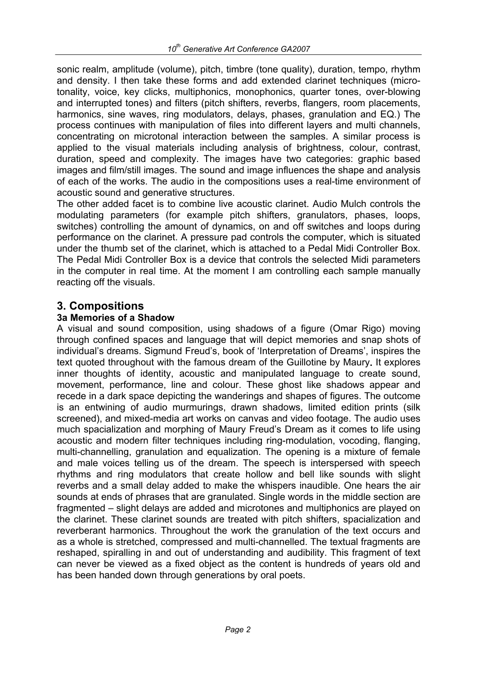sonic realm, amplitude (volume), pitch, timbre (tone quality), duration, tempo, rhythm and density. I then take these forms and add extended clarinet techniques (microtonality, voice, key clicks, multiphonics, monophonics, quarter tones, over-blowing and interrupted tones) and filters (pitch shifters, reverbs, flangers, room placements, harmonics, sine waves, ring modulators, delays, phases, granulation and EQ.) The process continues with manipulation of files into different layers and multi channels, concentrating on microtonal interaction between the samples. A similar process is applied to the visual materials including analysis of brightness, colour, contrast, duration, speed and complexity. The images have two categories: graphic based images and film/still images. The sound and image influences the shape and analysis of each of the works. The audio in the compositions uses a real-time environment of acoustic sound and generative structures.

The other added facet is to combine live acoustic clarinet. Audio Mulch controls the modulating parameters (for example pitch shifters, granulators, phases, loops, switches) controlling the amount of dynamics, on and off switches and loops during performance on the clarinet. A pressure pad controls the computer, which is situated under the thumb set of the clarinet, which is attached to a Pedal Midi Controller Box. The Pedal Midi Controller Box is a device that controls the selected Midi parameters in the computer in real time. At the moment I am controlling each sample manually reacting off the visuals.

### **3. Compositions**

### **3a Memories of a Shadow**

A visual and sound composition, using shadows of a figure (Omar Rigo) moving through confined spaces and language that will depict memories and snap shots of individual's dreams. Sigmund Freud's, book of 'Interpretation of Dreams', inspires the text quoted throughout with the famous dream of the Guillotine by Maury**.** It explores inner thoughts of identity, acoustic and manipulated language to create sound, movement, performance, line and colour. These ghost like shadows appear and recede in a dark space depicting the wanderings and shapes of figures. The outcome is an entwining of audio murmurings, drawn shadows, limited edition prints (silk screened), and mixed-media art works on canvas and video footage. The audio uses much spacialization and morphing of Maury Freud's Dream as it comes to life using acoustic and modern filter techniques including ring-modulation, vocoding, flanging, multi-channelling, granulation and equalization. The opening is a mixture of female and male voices telling us of the dream. The speech is interspersed with speech rhythms and ring modulators that create hollow and bell like sounds with slight reverbs and a small delay added to make the whispers inaudible. One hears the air sounds at ends of phrases that are granulated. Single words in the middle section are fragmented – slight delays are added and microtones and multiphonics are played on the clarinet. These clarinet sounds are treated with pitch shifters, spacialization and reverberant harmonics. Throughout the work the granulation of the text occurs and as a whole is stretched, compressed and multi-channelled. The textual fragments are reshaped, spiralling in and out of understanding and audibility. This fragment of text can never be viewed as a fixed object as the content is hundreds of years old and has been handed down through generations by oral poets.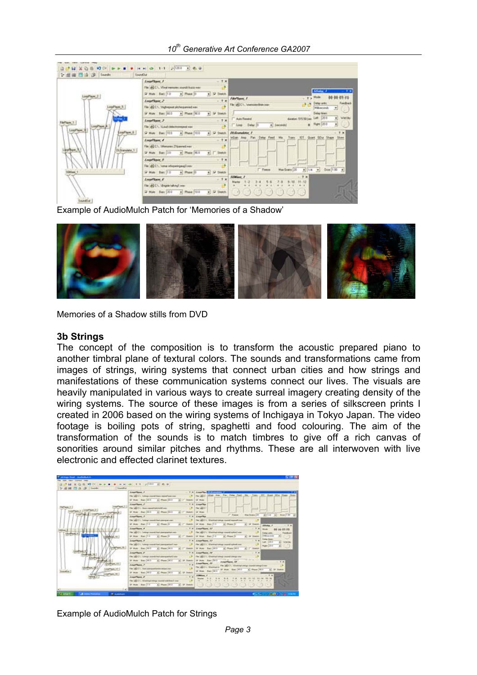#### *10th Generative Art Conference GA2007*

|                                                                  | Load law, 1<br>$-7x$                                                                                                                                                                                                         |                                                                                                                                                                                                                 |
|------------------------------------------------------------------|------------------------------------------------------------------------------------------------------------------------------------------------------------------------------------------------------------------------------|-----------------------------------------------------------------------------------------------------------------------------------------------------------------------------------------------------------------|
| Local <sup>Player</sup>                                          | Fix all C1. Viral resume count/Acts var-<br>57 Male - Barc 1131<br>+ Place 10<br>al O fission<br>$-7x$<br>Load lane 2                                                                                                        | Silvier<br>Mode<br>Film Toyott, F.<br>Teedisci<br>Dellar units<br>all CA. Anencombian issue                                                                                                                     |
| <b>LEW TANKS</b><br>Local <sup>7</sup> layer<br>Di Branalator, T | File all C.V. Volvessel ph/vegaroed.var-<br>57 May 841 003<br># Place 200<br>a) or times.<br>$-7x$<br>Local Save 3<br>File: and C.V., Manach chefect interest party with<br>SF Mule - Bars (103)<br>+ Plane 100<br>4 P Innth | <b>Häusoinh</b><br>$\cdot$<br><b>Daley taxes</b><br>Let  200<br>Wellau<br>duration: SYS 59 Lives<br><b>Auto Foreign</b><br><b>a</b> <i>Hot 201</i><br>회<br># Issuedd<br>Detail<br>$-7x$<br><b>Di Grandshe</b> 1 |
|                                                                  | $-7x$<br><b>Loughborn 4</b><br>Fix: dQCS. Menures 20pered ver-<br>e<br>52 Male - Barc (30)<br>+ Plain 0.0<br><b>Steetch</b><br>删                                                                                             | TOT <sub>1</sub><br>Guard<br>GDH<br><b>Skaw</b><br>Datas<br><b>CALLS</b>                                                                                                                                        |
|                                                                  | LearNam 5<br>$-7.8$<br>File und C1. Tomas effectivity and mor-<br>$ 1 $ 57 Seems<br>57 Male Bars 1.0<br>* Phone 10                                                                                                           | Door 1 00<br>Fisson<br>Max Grains (20)<br>$\blacksquare$<br>$\bullet$<br>11.14                                                                                                                                  |
|                                                                  | $-1x$<br>Local Save, E.<br>Fler and Ch., Mispon taking from<br>H.<br>4 Plain 10.0<br>72 Male Bars (200<br>4 F Steath                                                                                                         | $+ x$<br><b>SEMiser J</b><br>Marita                                                                                                                                                                             |

Example of AudioMulch Patch for 'Memories of a Shadow'



Memories of a Shadow stills from DVD

#### **3b Strings**

The concept of the composition is to transform the acoustic prepared piano to another timbral plane of textural colors. The sounds and transformations came from images of strings, wiring systems that connect urban cities and how strings and manifestations of these communication systems connect our lives. The visuals are heavily manipulated in various ways to create surreal imagery creating density of the wiring systems. The source of these images is from a series of silkscreen prints I created in 2006 based on the wiring systems of Inchigaya in Tokyo Japan. The video footage is boiling pots of string, spaghetti and food colouring. The aim of the transformation of the sounds is to match timbres to give off a rich canvas of sonorities around similar pitches and rhythms. These are all interwoven with live electronic and effected clarinet textures.

|                   | LourNew, F.                                                      | $-$ 7 $\times$ 4 months                                                              |
|-------------------|------------------------------------------------------------------|--------------------------------------------------------------------------------------|
|                   | Fax: #9 C1. Tulmup connections report book one                   |                                                                                      |
|                   |                                                                  | <b>Call Motor</b>                                                                    |
|                   | <b>Joseffeer J</b><br>$-1$                                       | A show The                                                                           |
| <b>ANTIMATION</b> | The all C1. Share remarkable to me-                              | <b>TWO VALUE</b>                                                                     |
|                   | 50 Main State 4111<br>4 Phase 2012<br><b>Thursday</b>            | or Marc                                                                              |
|                   | LowPlane P<br>$-1$                                               | <b>T</b> Farent<br>4.111.10<br>$+1$<br>May Graphs 17<br><b>Longellin</b>             |
|                   | Far all Cit. Long uses that person no                            | Flar add C.V., Wandship Lodge, couldn't exposed out-                                 |
|                   | 52 Model - Black (1.6)<br>4 Phase 31<br>$+1$<br><b>Telephone</b> | v. Press 31<br>or Map Bac 218<br>$\overline{\phantom{a}}$<br>Total A                 |
|                   | <b>Courthous 4</b><br>$7 - 10$                                   | Averflow, IV                                                                         |
|                   | Fax: (8) C1. Tuesta countries percented on                       | The ASECT. Classrophotogy countrivation/color<br>Mar-Alf                             |
|                   | William Bas (16)<br>. There is<br>Dogwood, C                     | <b>4C Phone 10</b><br><b>Millionary control</b><br>of Map - Part 210                 |
|                   | <b>Engelbank F</b>                                               | <b>Traitage (Market)</b><br><b>Lough Toyot, 22</b><br><b>CALL</b>                    |
|                   | F& USES, himp carelliter percentant car-                         | Flie ALL/. Central near conditated ne-<br><b><i><u>Right</u></i></b>                 |
|                   | 32 Middle Brack 14411<br>4 Phase (40th)                          | All Phase 1413<br>Mate: Basic (MDS)                                                  |
|                   | Competitions, if                                                 | $+ -$<br><b>LocalTown, N</b>                                                         |
|                   | File ASCA, home monitoral percentations                          | File and C.V., Sheekinghallenge stoutch colongs was                                  |
|                   | W Mule Bacc 40.0<br>a) Phane (Mid)                               | The County of Service<br>Sec 20-5<br><b>Longer Romer, AP</b><br><b>Averflore, 19</b> |
|                   | $+1$<br><b>Courtins</b> 7                                        | FM 45/CA, Clement map combined<br>The all Cit. Sheetsatte                            |
|                   | File at 2 C.C. Hart pieces artisten retail our                   | Wide: Bac #10<br>a Phone Mint<br>of Map - Barr 1814                                  |
|                   | Withat Sati Not<br>41 Phase Drive<br>$-$                         |                                                                                      |
|                   | $\cdot$<br><b>LoarTon F</b>                                      |                                                                                      |
|                   | File (AQ C1). (Destroy) shape counter with lines I can           |                                                                                      |

Example of AudioMulch Patch for Strings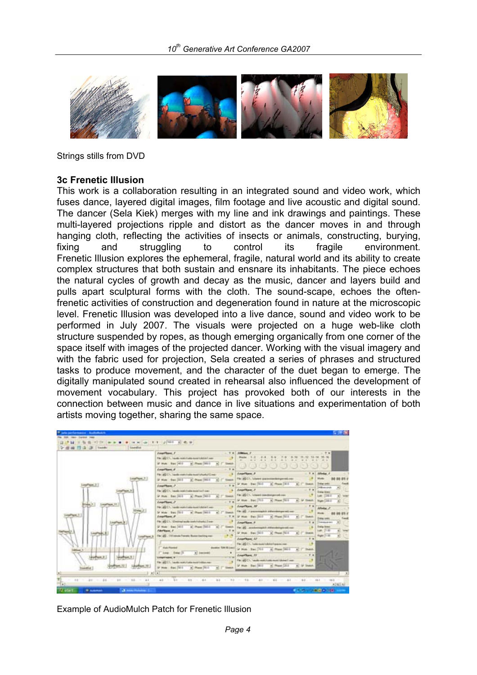

Strings stills from DVD

### **3c Frenetic Illusion**

This work is a collaboration resulting in an integrated sound and video work, which fuses dance, layered digital images, film footage and live acoustic and digital sound. The dancer (Sela Kiek) merges with my line and ink drawings and paintings. These multi-layered projections ripple and distort as the dancer moves in and through hanging cloth, reflecting the activities of insects or animals, constructing, burying, fixing and struggling to control its fragile environment. Frenetic Illusion explores the ephemeral, fragile, natural world and its ability to create complex structures that both sustain and ensnare its inhabitants. The piece echoes the natural cycles of growth and decay as the music, dancer and layers build and pulls apart sculptural forms with the cloth. The sound-scape, echoes the oftenfrenetic activities of construction and degeneration found in nature at the microscopic level. Frenetic Illusion was developed into a live dance, sound and video work to be performed in July 2007. The visuals were projected on a huge web-like cloth structure suspended by ropes, as though emerging organically from one corner of the space itself with images of the projected dancer. Working with the visual imagery and with the fabric used for projection, Sela created a series of phrases and structured tasks to produce movement, and the character of the duet began to emerge. The digitally manipulated sound created in rehearsal also influenced the development of movement vocabulary. This project has provoked both of our interests in the connection between music and dance in live situations and experimentation of both artists moving together, sharing the same space.



Example of AudioMulch Patch for Frenetic Illusion